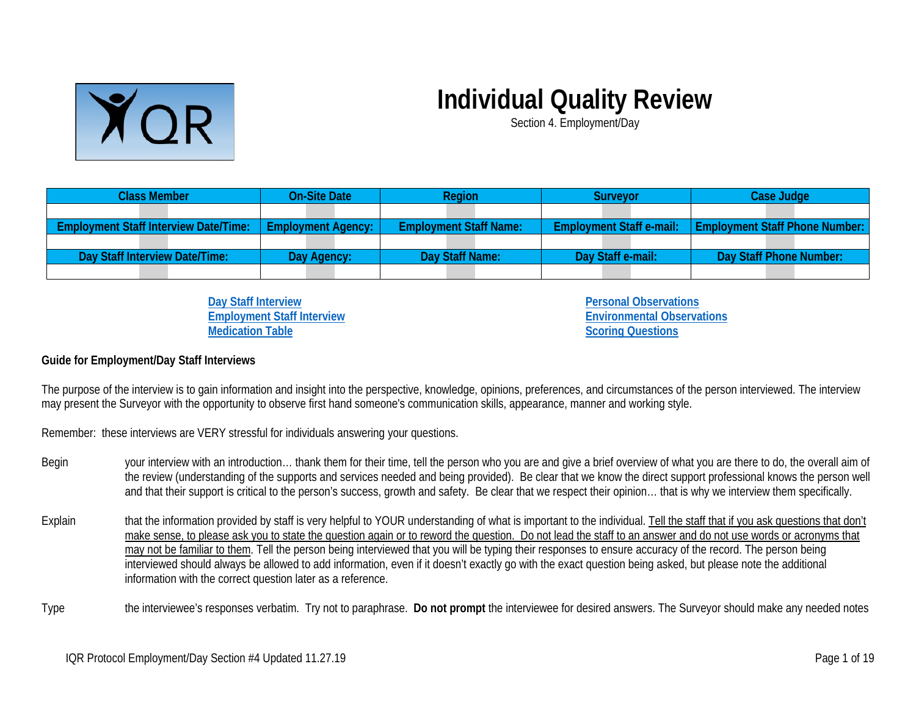

## **Individual Quality Review**

Section 4. Employment/Day

| <b>Class Member</b>                          | <b>On-Site Date</b>       | <b>Region</b>                 | Survevor                        | Case Judge                            |
|----------------------------------------------|---------------------------|-------------------------------|---------------------------------|---------------------------------------|
|                                              |                           |                               |                                 |                                       |
| <b>Employment Staff Interview Date/Time:</b> | <b>Employment Agency:</b> | <b>Employment Staff Name:</b> | <b>Employment Staff e-mail:</b> | <b>Employment Staff Phone Number:</b> |
|                                              |                           |                               |                                 |                                       |
| Day Staff Interview Date/Time:               | Day Agency:               | Day Staff Name:               | Day Staff e-mail:               | Day Staff Phone Number:               |
|                                              |                           |                               |                                 |                                       |

**[Day Staff Interview](#page-2-0) Employment [Staff Interview](#page-7-0) [Medication Table](#page-13-0)**

**[Personal Observations](#page-13-1) [Environmental Observations](#page-14-0) [Scoring Questions](#page-15-0)**

## **Guide for Employment/Day Staff Interviews**

The purpose of the interview is to gain information and insight into the perspective, knowledge, opinions, preferences, and circumstances of the person interviewed. The interview may present the Surveyor with the opportunity to observe first hand someone's communication skills, appearance, manner and working style.

Remember: these interviews are VERY stressful for individuals answering your questions.

- Begin your interview with an introduction... thank them for their time, tell the person who you are and give a brief overview of what you are there to do, the overall aim of the review (understanding of the supports and services needed and being provided). Be clear that we know the direct support professional knows the person well and that their support is critical to the person's success, growth and safety. Be clear that we respect their opinion… that is why we interview them specifically.
- Explain that the information provided by staff is very helpful to YOUR understanding of what is important to the individual. Tell the staff that if you ask questions that don't make sense, to please ask you to state the question again or to reword the question. Do not lead the staff to an answer and do not use words or acronyms that may not be familiar to them. Tell the person being interviewed that you will be typing their responses to ensure accuracy of the record. The person being interviewed should always be allowed to add information, even if it doesn't exactly go with the exact question being asked, but please note the additional information with the correct question later as a reference.
- Type the interviewee's responses verbatim. Try not to paraphrase. **Do not prompt** the interviewee for desired answers. The Surveyor should make any needed notes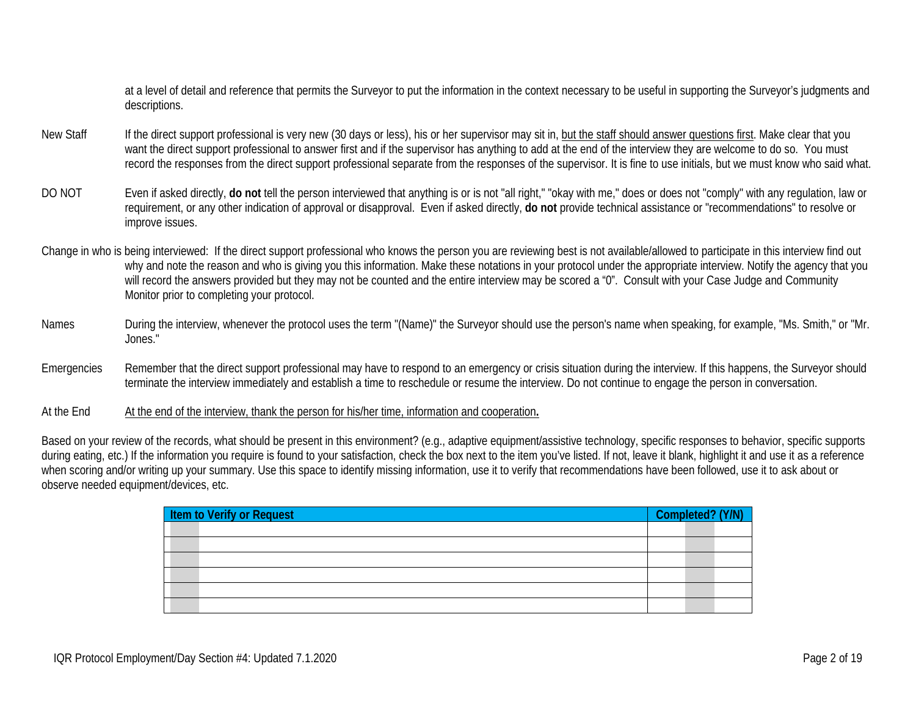at a level of detail and reference that permits the Surveyor to put the information in the context necessary to be useful in supporting the Surveyor's judgments and descriptions.

- New Staff If the direct support professional is very new (30 days or less), his or her supervisor may sit in, but the staff should answer questions first. Make clear that you want the direct support professional to answer first and if the supervisor has anything to add at the end of the interview they are welcome to do so. You must record the responses from the direct support professional separate from the responses of the supervisor. It is fine to use initials, but we must know who said what.
- DO NOT Even if asked directly, do not tell the person interviewed that anything is or is not "all right," "okay with me," does or does not "comply" with any regulation, law or requirement, or any other indication of approval or disapproval. Even if asked directly, **do not** provide technical assistance or "recommendations" to resolve or improve issues.
- Change in who is being interviewed: If the direct support professional who knows the person you are reviewing best is not available/allowed to participate in this interview find out why and note the reason and who is giving you this information. Make these notations in your protocol under the appropriate interview. Notify the agency that you will record the answers provided but they may not be counted and the entire interview may be scored a "0". Consult with your Case Judge and Community Monitor prior to completing your protocol.
- Names During the interview, whenever the protocol uses the term "(Name)" the Surveyor should use the person's name when speaking, for example, "Ms. Smith," or "Mr. Jones."
- Emergencies Remember that the direct support professional may have to respond to an emergency or crisis situation during the interview. If this happens, the Surveyor should terminate the interview immediately and establish a time to reschedule or resume the interview. Do not continue to engage the person in conversation.
- At the End At the end of the interview, thank the person for his/her time, information and cooperation.

Based on your review of the records, what should be present in this environment? (e.g., adaptive equipment/assistive technology, specific responses to behavior, specific supports during eating, etc.) If the information you require is found to your satisfaction, check the box next to the item you've listed. If not, leave it blank, highlight it and use it as a reference when scoring and/or writing up your summary. Use this space to identify missing information, use it to verify that recommendations have been followed, use it to ask about or observe needed equipment/devices, etc.

| Item to Verify or Request | Completed? (Y/N) |  |
|---------------------------|------------------|--|
|                           |                  |  |
|                           |                  |  |
|                           |                  |  |
|                           |                  |  |
|                           |                  |  |
|                           |                  |  |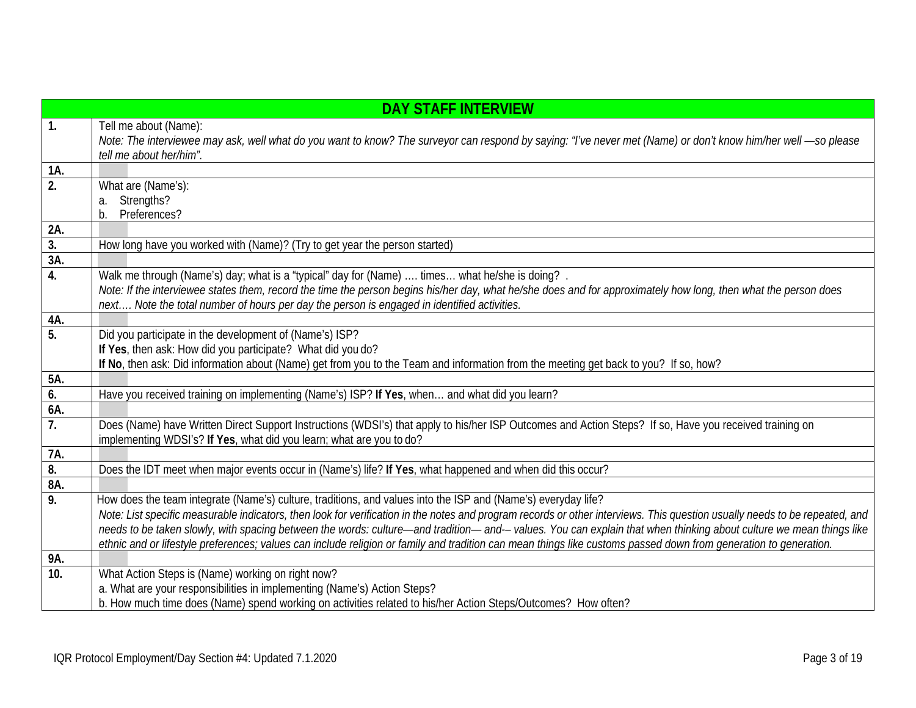<span id="page-2-0"></span>

| <b>DAY STAFF INTERVIEW</b> |                                                                                                                                                                                                                                                                                                                                                                   |  |
|----------------------------|-------------------------------------------------------------------------------------------------------------------------------------------------------------------------------------------------------------------------------------------------------------------------------------------------------------------------------------------------------------------|--|
| $\mathbf{1}$ .             | Tell me about (Name):<br>Note: The interviewee may ask, well what do you want to know? The surveyor can respond by saying: "I've never met (Name) or don't know him/her well -so please<br>tell me about her/him".                                                                                                                                                |  |
| 1A.                        |                                                                                                                                                                                                                                                                                                                                                                   |  |
| 2.                         | What are (Name's):                                                                                                                                                                                                                                                                                                                                                |  |
|                            | Strengths?<br>a.                                                                                                                                                                                                                                                                                                                                                  |  |
|                            | Preferences?<br>b.                                                                                                                                                                                                                                                                                                                                                |  |
| 2A.                        |                                                                                                                                                                                                                                                                                                                                                                   |  |
| $\overline{3}$ .           | How long have you worked with (Name)? (Try to get year the person started)                                                                                                                                                                                                                                                                                        |  |
| 3A.                        |                                                                                                                                                                                                                                                                                                                                                                   |  |
| 4.                         | Walk me through (Name's) day; what is a "typical" day for (Name)  times what he/she is doing? .<br>Note: If the interviewee states them, record the time the person begins his/her day, what he/she does and for approximately how long, then what the person does<br>next Note the total number of hours per day the person is engaged in identified activities. |  |
| 4A.                        |                                                                                                                                                                                                                                                                                                                                                                   |  |
| 5.                         | Did you participate in the development of (Name's) ISP?<br>If Yes, then ask: How did you participate? What did you do?<br>If No, then ask: Did information about (Name) get from you to the Team and information from the meeting get back to you? If so, how?                                                                                                    |  |
| 5A.                        |                                                                                                                                                                                                                                                                                                                                                                   |  |
| $\overline{6}$ .           | Have you received training on implementing (Name's) ISP? If Yes, when and what did you learn?                                                                                                                                                                                                                                                                     |  |
| 6A.                        |                                                                                                                                                                                                                                                                                                                                                                   |  |
| $\overline{7}$ .           | Does (Name) have Written Direct Support Instructions (WDSI's) that apply to his/her ISP Outcomes and Action Steps? If so, Have you received training on<br>implementing WDSI's? If Yes, what did you learn; what are you to do?                                                                                                                                   |  |
| 7A.                        |                                                                                                                                                                                                                                                                                                                                                                   |  |
| $\overline{8}$ .           | Does the IDT meet when major events occur in (Name's) life? If Yes, what happened and when did this occur?                                                                                                                                                                                                                                                        |  |
| 8A.                        |                                                                                                                                                                                                                                                                                                                                                                   |  |
| 9.                         | How does the team integrate (Name's) culture, traditions, and values into the ISP and (Name's) everyday life?                                                                                                                                                                                                                                                     |  |
|                            | Note: List specific measurable indicators, then look for verification in the notes and program records or other interviews. This question usually needs to be repeated, and                                                                                                                                                                                       |  |
|                            | needs to be taken slowly, with spacing between the words: culture—and tradition—and--values. You can explain that when thinking about culture we mean things like                                                                                                                                                                                                 |  |
| 9A.                        | ethnic and or lifestyle preferences; values can include religion or family and tradition can mean things like customs passed down from generation to generation.                                                                                                                                                                                                  |  |
| 10.                        | What Action Steps is (Name) working on right now?                                                                                                                                                                                                                                                                                                                 |  |
|                            | a. What are your responsibilities in implementing (Name's) Action Steps?                                                                                                                                                                                                                                                                                          |  |
|                            | b. How much time does (Name) spend working on activities related to his/her Action Steps/Outcomes? How often?                                                                                                                                                                                                                                                     |  |
|                            |                                                                                                                                                                                                                                                                                                                                                                   |  |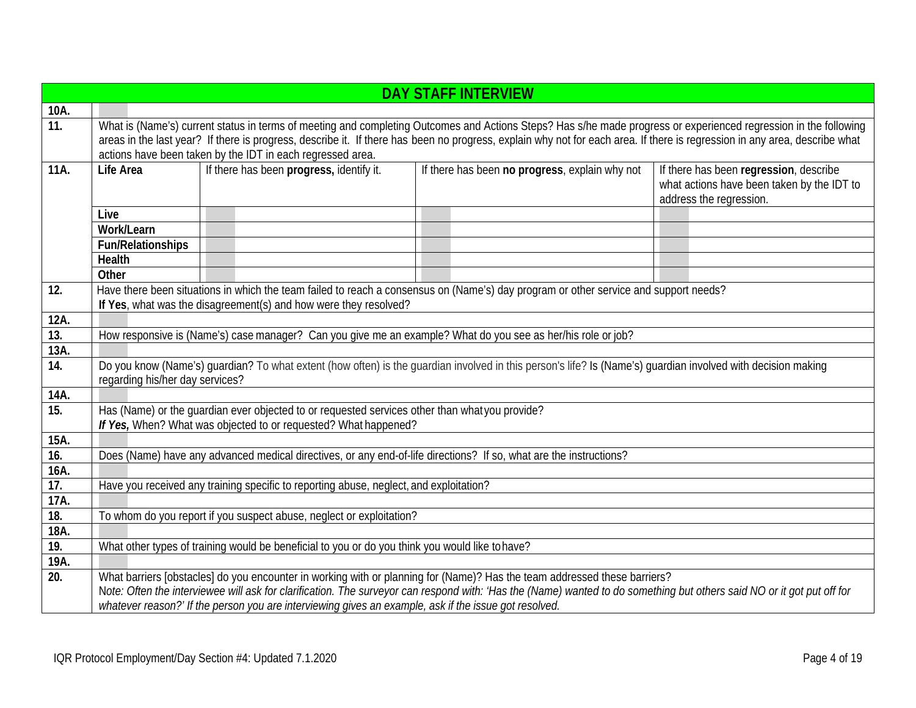| <b>DAY STAFF INTERVIEW</b> |                                                                                                                                                                                                                                                                                                                                                                                                              |                                                                                                       |                                                                                                                                                                                                                                                                                                     |                                                                                                                 |
|----------------------------|--------------------------------------------------------------------------------------------------------------------------------------------------------------------------------------------------------------------------------------------------------------------------------------------------------------------------------------------------------------------------------------------------------------|-------------------------------------------------------------------------------------------------------|-----------------------------------------------------------------------------------------------------------------------------------------------------------------------------------------------------------------------------------------------------------------------------------------------------|-----------------------------------------------------------------------------------------------------------------|
| 10A.                       |                                                                                                                                                                                                                                                                                                                                                                                                              |                                                                                                       |                                                                                                                                                                                                                                                                                                     |                                                                                                                 |
| $\overline{11}$ .          | What is (Name's) current status in terms of meeting and completing Outcomes and Actions Steps? Has s/he made progress or experienced regression in the following<br>areas in the last year? If there is progress, describe it. If there has been no progress, explain why not for each area. If there is regression in any area, describe what<br>actions have been taken by the IDT in each regressed area. |                                                                                                       |                                                                                                                                                                                                                                                                                                     |                                                                                                                 |
| 11A.                       | Life Area                                                                                                                                                                                                                                                                                                                                                                                                    | If there has been progress, identify it.                                                              | If there has been no progress, explain why not                                                                                                                                                                                                                                                      | If there has been regression, describe<br>what actions have been taken by the IDT to<br>address the regression. |
|                            | Live                                                                                                                                                                                                                                                                                                                                                                                                         |                                                                                                       |                                                                                                                                                                                                                                                                                                     |                                                                                                                 |
|                            | Work/Learn                                                                                                                                                                                                                                                                                                                                                                                                   |                                                                                                       |                                                                                                                                                                                                                                                                                                     |                                                                                                                 |
|                            | <b>Fun/Relationships</b>                                                                                                                                                                                                                                                                                                                                                                                     |                                                                                                       |                                                                                                                                                                                                                                                                                                     |                                                                                                                 |
|                            | Health                                                                                                                                                                                                                                                                                                                                                                                                       |                                                                                                       |                                                                                                                                                                                                                                                                                                     |                                                                                                                 |
|                            | Other                                                                                                                                                                                                                                                                                                                                                                                                        |                                                                                                       |                                                                                                                                                                                                                                                                                                     |                                                                                                                 |
| 12.                        |                                                                                                                                                                                                                                                                                                                                                                                                              |                                                                                                       | Have there been situations in which the team failed to reach a consensus on (Name's) day program or other service and support needs?                                                                                                                                                                |                                                                                                                 |
|                            |                                                                                                                                                                                                                                                                                                                                                                                                              | If Yes, what was the disagreement(s) and how were they resolved?                                      |                                                                                                                                                                                                                                                                                                     |                                                                                                                 |
| 12A.                       |                                                                                                                                                                                                                                                                                                                                                                                                              |                                                                                                       |                                                                                                                                                                                                                                                                                                     |                                                                                                                 |
| 13.                        |                                                                                                                                                                                                                                                                                                                                                                                                              |                                                                                                       | How responsive is (Name's) case manager? Can you give me an example? What do you see as her/his role or job?                                                                                                                                                                                        |                                                                                                                 |
| 13A                        |                                                                                                                                                                                                                                                                                                                                                                                                              |                                                                                                       |                                                                                                                                                                                                                                                                                                     |                                                                                                                 |
| 14.                        | Do you know (Name's) quardian? To what extent (how often) is the quardian involved in this person's life? Is (Name's) quardian involved with decision making<br>regarding his/her day services?                                                                                                                                                                                                              |                                                                                                       |                                                                                                                                                                                                                                                                                                     |                                                                                                                 |
| 14A.                       |                                                                                                                                                                                                                                                                                                                                                                                                              |                                                                                                       |                                                                                                                                                                                                                                                                                                     |                                                                                                                 |
| 15.                        | Has (Name) or the guardian ever objected to or requested services other than what you provide?<br>If Yes, When? What was objected to or requested? What happened?                                                                                                                                                                                                                                            |                                                                                                       |                                                                                                                                                                                                                                                                                                     |                                                                                                                 |
| 15A.                       |                                                                                                                                                                                                                                                                                                                                                                                                              |                                                                                                       |                                                                                                                                                                                                                                                                                                     |                                                                                                                 |
| 16.                        |                                                                                                                                                                                                                                                                                                                                                                                                              |                                                                                                       | Does (Name) have any advanced medical directives, or any end-of-life directions? If so, what are the instructions?                                                                                                                                                                                  |                                                                                                                 |
| 16A.                       |                                                                                                                                                                                                                                                                                                                                                                                                              |                                                                                                       |                                                                                                                                                                                                                                                                                                     |                                                                                                                 |
| 17.                        |                                                                                                                                                                                                                                                                                                                                                                                                              | Have you received any training specific to reporting abuse, neglect, and exploitation?                |                                                                                                                                                                                                                                                                                                     |                                                                                                                 |
| 17A.                       |                                                                                                                                                                                                                                                                                                                                                                                                              |                                                                                                       |                                                                                                                                                                                                                                                                                                     |                                                                                                                 |
| 18.                        |                                                                                                                                                                                                                                                                                                                                                                                                              | To whom do you report if you suspect abuse, neglect or exploitation?                                  |                                                                                                                                                                                                                                                                                                     |                                                                                                                 |
| 18A.                       |                                                                                                                                                                                                                                                                                                                                                                                                              |                                                                                                       |                                                                                                                                                                                                                                                                                                     |                                                                                                                 |
| 19.                        |                                                                                                                                                                                                                                                                                                                                                                                                              | What other types of training would be beneficial to you or do you think you would like to have?       |                                                                                                                                                                                                                                                                                                     |                                                                                                                 |
| 19A.                       |                                                                                                                                                                                                                                                                                                                                                                                                              |                                                                                                       |                                                                                                                                                                                                                                                                                                     |                                                                                                                 |
| 20.                        |                                                                                                                                                                                                                                                                                                                                                                                                              | whatever reason?' If the person you are interviewing gives an example, ask if the issue got resolved. | What barriers [obstacles] do you encounter in working with or planning for (Name)? Has the team addressed these barriers?<br>Note: Often the interviewee will ask for clarification. The surveyor can respond with: 'Has the (Name) wanted to do something but others said NO or it got put off for |                                                                                                                 |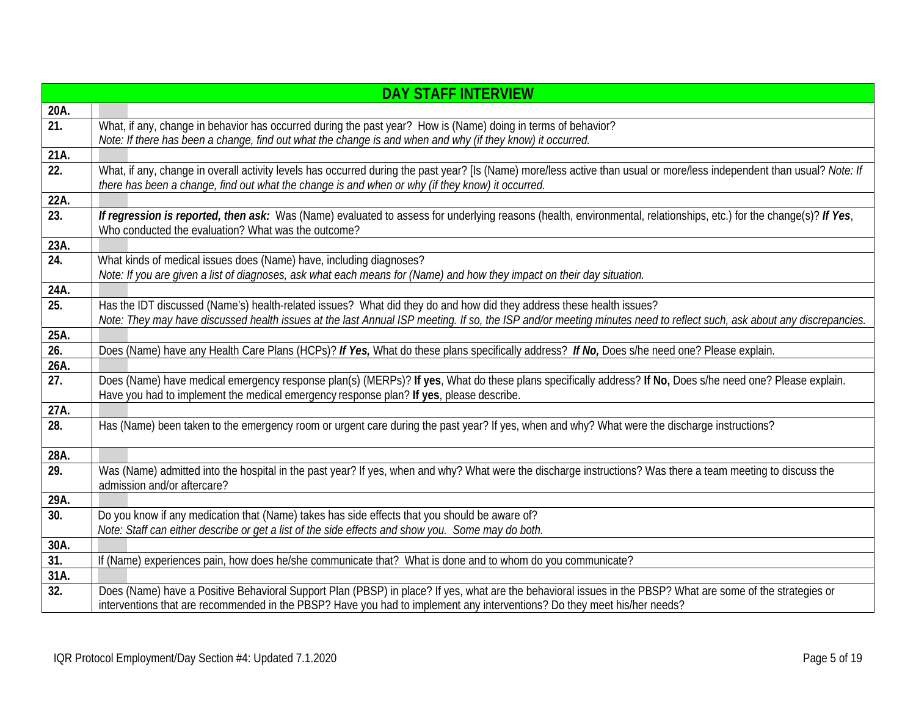|                   | <b>DAY STAFF INTERVIEW</b>                                                                                                                                                                                                                                                  |
|-------------------|-----------------------------------------------------------------------------------------------------------------------------------------------------------------------------------------------------------------------------------------------------------------------------|
| 20A.              |                                                                                                                                                                                                                                                                             |
| $\overline{21}$ . | What, if any, change in behavior has occurred during the past year? How is (Name) doing in terms of behavior?                                                                                                                                                               |
|                   | Note: If there has been a change, find out what the change is and when and why (if they know) it occurred.                                                                                                                                                                  |
| 21A.              |                                                                                                                                                                                                                                                                             |
| 22.               | What, if any, change in overall activity levels has occurred during the past year? [Is (Name) more/less active than usual or more/less independent than usual? Note: If<br>there has been a change, find out what the change is and when or why (if they know) it occurred. |
| 22A.              |                                                                                                                                                                                                                                                                             |
| 23.               | If regression is reported, then ask: Was (Name) evaluated to assess for underlying reasons (health, environmental, relationships, etc.) for the change(s)? If Yes,<br>Who conducted the evaluation? What was the outcome?                                                   |
| 23A.              |                                                                                                                                                                                                                                                                             |
| 24.               | What kinds of medical issues does (Name) have, including diagnoses?                                                                                                                                                                                                         |
|                   | Note: If you are given a list of diagnoses, ask what each means for (Name) and how they impact on their day situation.                                                                                                                                                      |
| 24A.              |                                                                                                                                                                                                                                                                             |
| 25.               | Has the IDT discussed (Name's) health-related issues? What did they do and how did they address these health issues?                                                                                                                                                        |
|                   | Note: They may have discussed health issues at the last Annual ISP meeting. If so, the ISP and/or meeting minutes need to reflect such, ask about any discrepancies.                                                                                                        |
| 25A.              |                                                                                                                                                                                                                                                                             |
| 26.               | Does (Name) have any Health Care Plans (HCPs)? If Yes, What do these plans specifically address? If No, Does s/he need one? Please explain.                                                                                                                                 |
| $26A$ .<br>27.    | Does (Name) have medical emergency response plan(s) (MERPs)? If yes, What do these plans specifically address? If No, Does s/he need one? Please explain.                                                                                                                   |
|                   | Have you had to implement the medical emergency response plan? If yes, please describe.                                                                                                                                                                                     |
| 27A.              |                                                                                                                                                                                                                                                                             |
| 28.               | Has (Name) been taken to the emergency room or urgent care during the past year? If yes, when and why? What were the discharge instructions?                                                                                                                                |
|                   |                                                                                                                                                                                                                                                                             |
| 28A.              |                                                                                                                                                                                                                                                                             |
| $\overline{29}$ . | Was (Name) admitted into the hospital in the past year? If yes, when and why? What were the discharge instructions? Was there a team meeting to discuss the                                                                                                                 |
|                   | admission and/or aftercare?                                                                                                                                                                                                                                                 |
| 29A.              |                                                                                                                                                                                                                                                                             |
| 30.               | Do you know if any medication that (Name) takes has side effects that you should be aware of?                                                                                                                                                                               |
|                   | Note: Staff can either describe or get a list of the side effects and show you. Some may do both.                                                                                                                                                                           |
| 30A.              |                                                                                                                                                                                                                                                                             |
| 31.               | If (Name) experiences pain, how does he/she communicate that? What is done and to whom do you communicate?                                                                                                                                                                  |
| 31A.              |                                                                                                                                                                                                                                                                             |
| 32.               | Does (Name) have a Positive Behavioral Support Plan (PBSP) in place? If yes, what are the behavioral issues in the PBSP? What are some of the strategies or                                                                                                                 |
|                   | interventions that are recommended in the PBSP? Have you had to implement any interventions? Do they meet his/her needs?                                                                                                                                                    |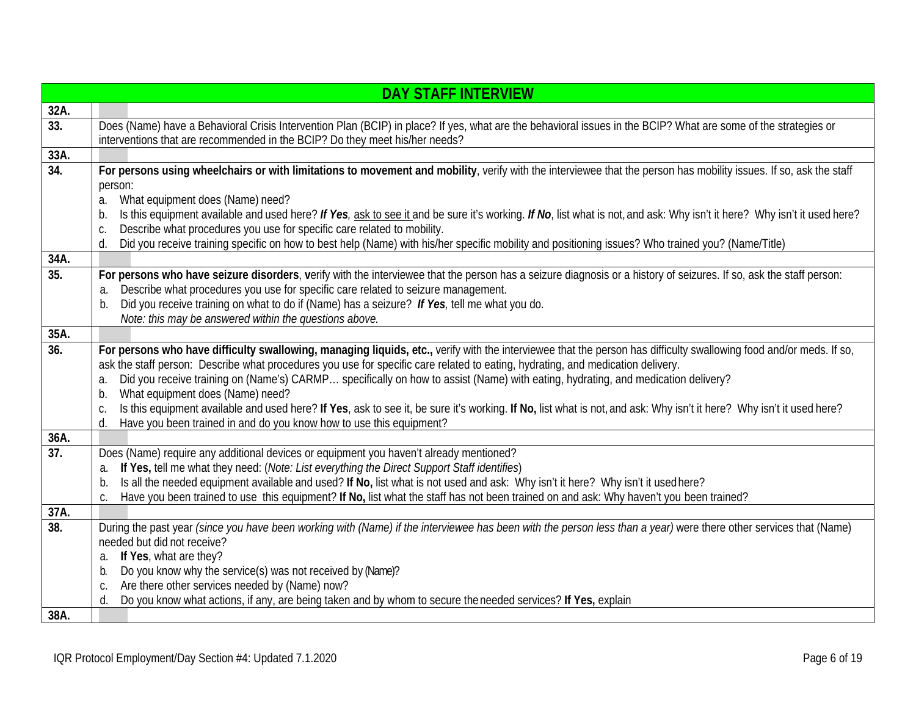|      | <b>DAY STAFF INTERVIEW</b>                                                                                                                                                                                                                                                       |
|------|----------------------------------------------------------------------------------------------------------------------------------------------------------------------------------------------------------------------------------------------------------------------------------|
| 32A. |                                                                                                                                                                                                                                                                                  |
| 33.  | Does (Name) have a Behavioral Crisis Intervention Plan (BCIP) in place? If yes, what are the behavioral issues in the BCIP? What are some of the strategies or                                                                                                                   |
|      | interventions that are recommended in the BCIP? Do they meet his/her needs?                                                                                                                                                                                                      |
| 33A. |                                                                                                                                                                                                                                                                                  |
| 34.  | For persons using wheelchairs or with limitations to movement and mobility, verify with the interviewee that the person has mobility issues. If so, ask the staff                                                                                                                |
|      | person:                                                                                                                                                                                                                                                                          |
|      | What equipment does (Name) need?<br>a.                                                                                                                                                                                                                                           |
|      | Is this equipment available and used here? If Yes, ask to see it and be sure it's working. If No, list what is not, and ask: Why isn't it here? Why isn't it used here?<br>b.                                                                                                    |
|      | Describe what procedures you use for specific care related to mobility.<br>C.                                                                                                                                                                                                    |
|      | Did you receive training specific on how to best help (Name) with his/her specific mobility and positioning issues? Who trained you? (Name/Title)<br>$d$ .                                                                                                                       |
| 34A. |                                                                                                                                                                                                                                                                                  |
| 35.  | For persons who have seizure disorders, verify with the interviewee that the person has a seizure diagnosis or a history of seizures. If so, ask the staff person:                                                                                                               |
|      | Describe what procedures you use for specific care related to seizure management.<br>a.                                                                                                                                                                                          |
|      | Did you receive training on what to do if (Name) has a seizure? If Yes, tell me what you do.<br>b.                                                                                                                                                                               |
|      | Note: this may be answered within the questions above.                                                                                                                                                                                                                           |
| 35A. |                                                                                                                                                                                                                                                                                  |
| 36.  | For persons who have difficulty swallowing, managing liquids, etc., verify with the interviewee that the person has difficulty swallowing food and/or meds. If so,                                                                                                               |
|      | ask the staff person: Describe what procedures you use for specific care related to eating, hydrating, and medication delivery.                                                                                                                                                  |
|      | Did you receive training on (Name's) CARMP specifically on how to assist (Name) with eating, hydrating, and medication delivery?<br>a.                                                                                                                                           |
|      | What equipment does (Name) need?<br>b.                                                                                                                                                                                                                                           |
|      | Is this equipment available and used here? If Yes, ask to see it, be sure it's working. If No, list what is not, and ask: Why isn't it here? Why isn't it used here?<br>C.                                                                                                       |
|      | Have you been trained in and do you know how to use this equipment?<br>d.                                                                                                                                                                                                        |
| 36A. |                                                                                                                                                                                                                                                                                  |
| 37.  | Does (Name) require any additional devices or equipment you haven't already mentioned?                                                                                                                                                                                           |
|      | If Yes, tell me what they need: (Note: List everything the Direct Support Staff identifies)<br>a.                                                                                                                                                                                |
|      | Is all the needed equipment available and used? If No, list what is not used and ask: Why isn't it here? Why isn't it used here?<br>b.<br>Have you been trained to use this equipment? If No, list what the staff has not been trained on and ask: Why haven't you been trained? |
| 37A. | C.                                                                                                                                                                                                                                                                               |
| 38.  | During the past year (since you have been working with (Name) if the interviewee has been with the person less than a year) were there other services that (Name)                                                                                                                |
|      | needed but did not receive?                                                                                                                                                                                                                                                      |
|      | If Yes, what are they?<br>a.                                                                                                                                                                                                                                                     |
|      | Do you know why the service(s) was not received by (Name)?<br>b.                                                                                                                                                                                                                 |
|      | Are there other services needed by (Name) now?<br>C.                                                                                                                                                                                                                             |
|      | Do you know what actions, if any, are being taken and by whom to secure the needed services? If Yes, explain<br>d.                                                                                                                                                               |
| 38A. |                                                                                                                                                                                                                                                                                  |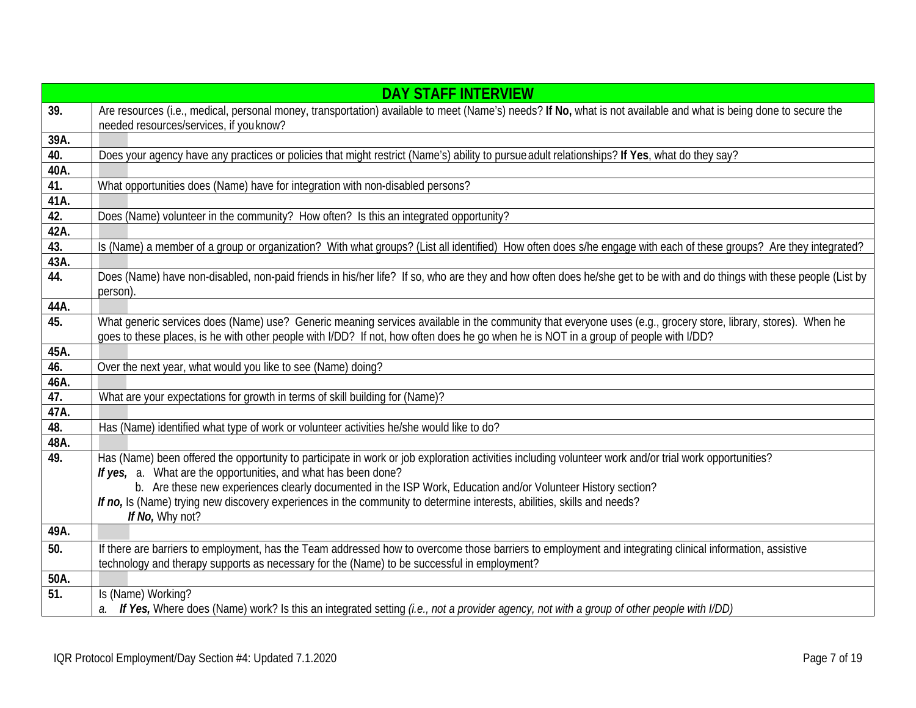|             | <b>DAY STAFF INTERVIEW</b>                                                                                                                                             |
|-------------|------------------------------------------------------------------------------------------------------------------------------------------------------------------------|
| 39.         | Are resources (i.e., medical, personal money, transportation) available to meet (Name's) needs? If No, what is not available and what is being done to secure the      |
|             | needed resources/services, if you know?                                                                                                                                |
| 39A.        |                                                                                                                                                                        |
| 40.         | Does your agency have any practices or policies that might restrict (Name's) ability to pursue adult relationships? If Yes, what do they say?                          |
| 40A.        |                                                                                                                                                                        |
| 41.         | What opportunities does (Name) have for integration with non-disabled persons?                                                                                         |
| 41A.        |                                                                                                                                                                        |
| 42.         | Does (Name) volunteer in the community? How often? Is this an integrated opportunity?                                                                                  |
| 42A.        |                                                                                                                                                                        |
| 43.<br>43A. | Is (Name) a member of a group or organization? With what groups? (List all identified) How often does s/he engage with each of these groups? Are they integrated?      |
| 44.         | Does (Name) have non-disabled, non-paid friends in his/her life? If so, who are they and how often does he/she get to be with and do things with these people (List by |
|             | person).                                                                                                                                                               |
| 44A.        |                                                                                                                                                                        |
| 45.         | What generic services does (Name) use? Generic meaning services available in the community that everyone uses (e.g., grocery store, library, stores). When he          |
|             | goes to these places, is he with other people with I/DD? If not, how often does he go when he is NOT in a group of people with I/DD?                                   |
| 45A.        |                                                                                                                                                                        |
| 46.         | Over the next year, what would you like to see (Name) doing?                                                                                                           |
| 46A.        |                                                                                                                                                                        |
| 47.         | What are your expectations for growth in terms of skill building for (Name)?                                                                                           |
| 47A.        |                                                                                                                                                                        |
| 48.         | Has (Name) identified what type of work or volunteer activities he/she would like to do?                                                                               |
| 48A.        |                                                                                                                                                                        |
| 49.         | Has (Name) been offered the opportunity to participate in work or job exploration activities including volunteer work and/or trial work opportunities?                 |
|             | If yes, a. What are the opportunities, and what has been done?                                                                                                         |
|             | b. Are these new experiences clearly documented in the ISP Work, Education and/or Volunteer History section?                                                           |
|             | If no, Is (Name) trying new discovery experiences in the community to determine interests, abilities, skills and needs?                                                |
| 49A.        | If No, Why not?                                                                                                                                                        |
|             |                                                                                                                                                                        |
| 50.         | If there are barriers to employment, has the Team addressed how to overcome those barriers to employment and integrating clinical information, assistive               |
|             | technology and therapy supports as necessary for the (Name) to be successful in employment?                                                                            |
| 50A.<br>51. | Is (Name) Working?                                                                                                                                                     |
|             | a. If Yes, Where does (Name) work? Is this an integrated setting (i.e., not a provider agency, not with a group of other people with I/DD)                             |
|             |                                                                                                                                                                        |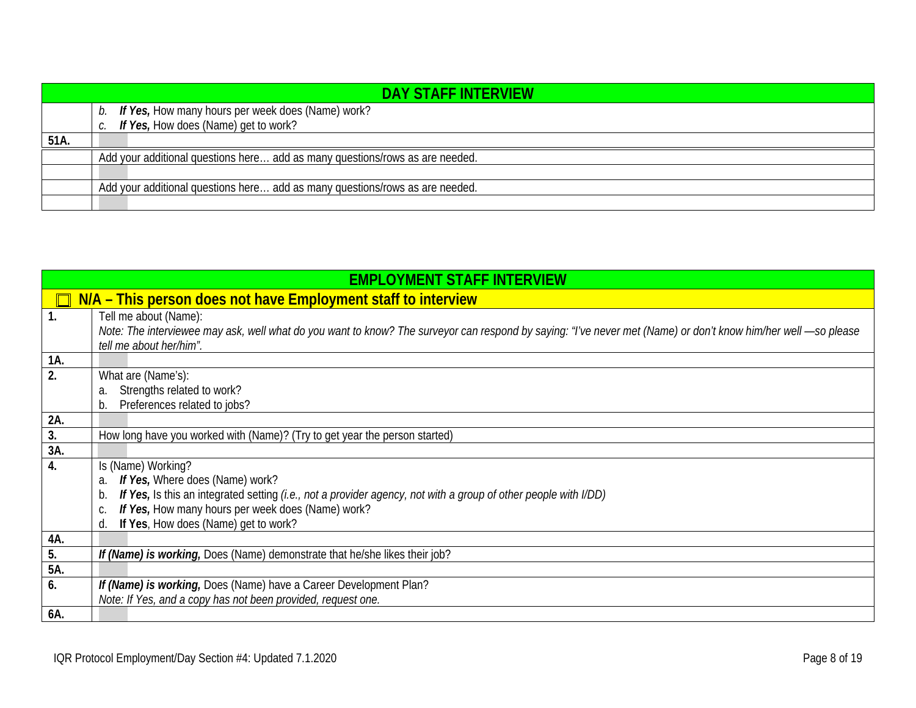|      | DAY STAFF INTERVIEW                                                          |  |  |
|------|------------------------------------------------------------------------------|--|--|
|      | If Yes, How many hours per week does (Name) work?<br>b.                      |  |  |
|      | If Yes, How does (Name) get to work?<br>C.                                   |  |  |
| 51A. |                                                                              |  |  |
|      | Add your additional questions here add as many questions/rows as are needed. |  |  |
|      |                                                                              |  |  |
|      | Add your additional questions here add as many questions/rows as are needed. |  |  |
|      |                                                                              |  |  |

<span id="page-7-0"></span>

|     | <b>EMPLOYMENT STAFF INTERVIEW</b>                                                                                                                                                         |  |  |
|-----|-------------------------------------------------------------------------------------------------------------------------------------------------------------------------------------------|--|--|
|     | N/A – This person does not have Employment staff to interview                                                                                                                             |  |  |
|     | Tell me about (Name):                                                                                                                                                                     |  |  |
|     | Note: The interviewee may ask, well what do you want to know? The surveyor can respond by saying: "I've never met (Name) or don't know him/her well —so please<br>tell me about her/him". |  |  |
| 1A. |                                                                                                                                                                                           |  |  |
| 2.  | What are (Name's):                                                                                                                                                                        |  |  |
|     | Strengths related to work?<br>a.                                                                                                                                                          |  |  |
|     | Preferences related to jobs?<br>b.                                                                                                                                                        |  |  |
| 2A. |                                                                                                                                                                                           |  |  |
| 3.  | How long have you worked with (Name)? (Try to get year the person started)                                                                                                                |  |  |
| 3A. |                                                                                                                                                                                           |  |  |
| 4.  | Is (Name) Working?                                                                                                                                                                        |  |  |
|     | If Yes, Where does (Name) work?<br>a.                                                                                                                                                     |  |  |
|     | If Yes, Is this an integrated setting (i.e., not a provider agency, not with a group of other people with I/DD)<br>b.                                                                     |  |  |
|     | If Yes, How many hours per week does (Name) work?                                                                                                                                         |  |  |
|     | If Yes, How does (Name) get to work?<br>d.                                                                                                                                                |  |  |
| 4A. |                                                                                                                                                                                           |  |  |
| 5.  | If (Name) is working, Does (Name) demonstrate that he/she likes their job?                                                                                                                |  |  |
| 5A. |                                                                                                                                                                                           |  |  |
| 6.  | If (Name) is working, Does (Name) have a Career Development Plan?                                                                                                                         |  |  |
|     | Note: If Yes, and a copy has not been provided, request one.                                                                                                                              |  |  |
| 6A. |                                                                                                                                                                                           |  |  |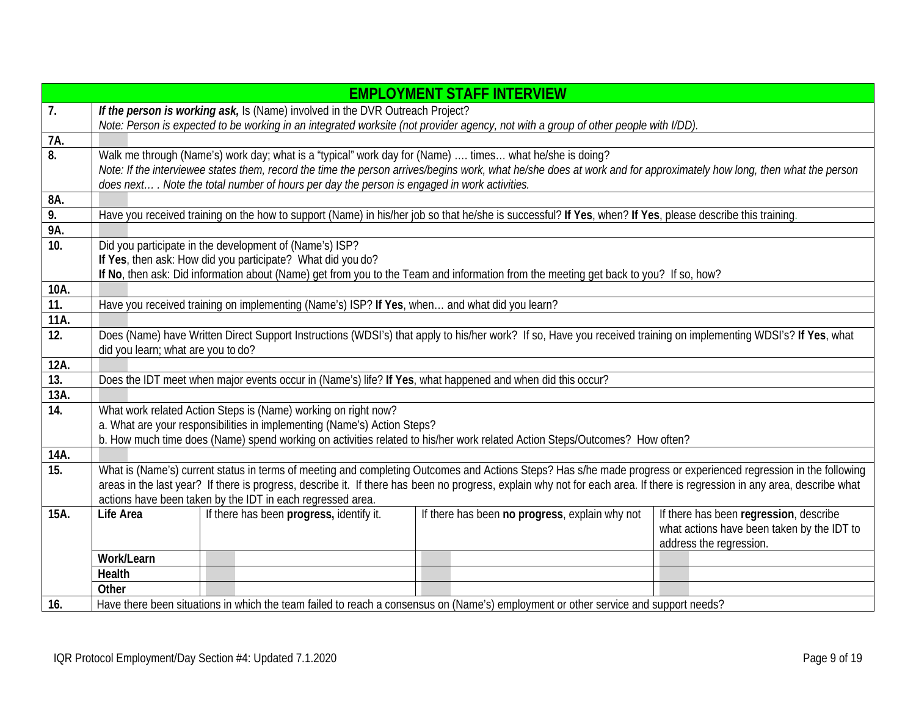|                           |                                    |                                                                                                            | <b>EMPLOYMENT STAFF INTERVIEW</b>                                                                                                                                          |                                                                       |
|---------------------------|------------------------------------|------------------------------------------------------------------------------------------------------------|----------------------------------------------------------------------------------------------------------------------------------------------------------------------------|-----------------------------------------------------------------------|
| 7.                        |                                    | If the person is working ask, Is (Name) involved in the DVR Outreach Project?                              |                                                                                                                                                                            |                                                                       |
|                           |                                    |                                                                                                            | Note: Person is expected to be working in an integrated worksite (not provider agency, not with a group of other people with I/DD).                                        |                                                                       |
| 7A.                       |                                    |                                                                                                            |                                                                                                                                                                            |                                                                       |
| 8.                        |                                    | Walk me through (Name's) work day; what is a "typical" work day for (Name)  times what he/she is doing?    |                                                                                                                                                                            |                                                                       |
|                           |                                    |                                                                                                            | Note: If the interviewee states them, record the time the person arrives/begins work, what he/she does at work and for approximately how long, then what the person        |                                                                       |
|                           |                                    | does next . Note the total number of hours per day the person is engaged in work activities.               |                                                                                                                                                                            |                                                                       |
| 8A.                       |                                    |                                                                                                            |                                                                                                                                                                            |                                                                       |
| 9.                        |                                    |                                                                                                            | Have you received training on the how to support (Name) in his/her job so that he/she is successful? If Yes, when? If Yes, please describe this training.                  |                                                                       |
| 9A.                       |                                    |                                                                                                            |                                                                                                                                                                            |                                                                       |
| $\overline{10}$ .         |                                    | Did you participate in the development of (Name's) ISP?                                                    |                                                                                                                                                                            |                                                                       |
|                           |                                    | If Yes, then ask: How did you participate? What did you do?                                                |                                                                                                                                                                            |                                                                       |
|                           |                                    |                                                                                                            | If No, then ask: Did information about (Name) get from you to the Team and information from the meeting get back to you? If so, how?                                       |                                                                       |
| 10A.<br>$\overline{11}$ . |                                    | Have you received training on implementing (Name's) ISP? If Yes, when and what did you learn?              |                                                                                                                                                                            |                                                                       |
| 11A.                      |                                    |                                                                                                            |                                                                                                                                                                            |                                                                       |
| 12.                       |                                    |                                                                                                            | Does (Name) have Written Direct Support Instructions (WDSI's) that apply to his/her work? If so, Have you received training on implementing WDSI's? If Yes, what           |                                                                       |
|                           | did you learn; what are you to do? |                                                                                                            |                                                                                                                                                                            |                                                                       |
| $12\overline{A}$ .        |                                    |                                                                                                            |                                                                                                                                                                            |                                                                       |
| 13.                       |                                    | Does the IDT meet when major events occur in (Name's) life? If Yes, what happened and when did this occur? |                                                                                                                                                                            |                                                                       |
| 13A.                      |                                    |                                                                                                            |                                                                                                                                                                            |                                                                       |
| 14.                       |                                    | What work related Action Steps is (Name) working on right now?                                             |                                                                                                                                                                            |                                                                       |
|                           |                                    | a. What are your responsibilities in implementing (Name's) Action Steps?                                   |                                                                                                                                                                            |                                                                       |
|                           |                                    |                                                                                                            | b. How much time does (Name) spend working on activities related to his/her work related Action Steps/Outcomes? How often?                                                 |                                                                       |
| 14A.                      |                                    |                                                                                                            |                                                                                                                                                                            |                                                                       |
| 15.                       |                                    |                                                                                                            | What is (Name's) current status in terms of meeting and completing Outcomes and Actions Steps? Has s/he made progress or experienced regression in the following           |                                                                       |
|                           |                                    |                                                                                                            | areas in the last year? If there is progress, describe it. If there has been no progress, explain why not for each area. If there is regression in any area, describe what |                                                                       |
|                           |                                    | actions have been taken by the IDT in each regressed area.                                                 |                                                                                                                                                                            |                                                                       |
| 15A.                      | Life Area                          | If there has been progress, identify it.                                                                   | If there has been no progress, explain why not                                                                                                                             | If there has been regression, describe                                |
|                           |                                    |                                                                                                            |                                                                                                                                                                            | what actions have been taken by the IDT to<br>address the regression. |
|                           | Work/Learn                         |                                                                                                            |                                                                                                                                                                            |                                                                       |
|                           | Health                             |                                                                                                            |                                                                                                                                                                            |                                                                       |
|                           | Other                              |                                                                                                            |                                                                                                                                                                            |                                                                       |
| 16.                       |                                    |                                                                                                            | Have there been situations in which the team failed to reach a consensus on (Name's) employment or other service and support needs?                                        |                                                                       |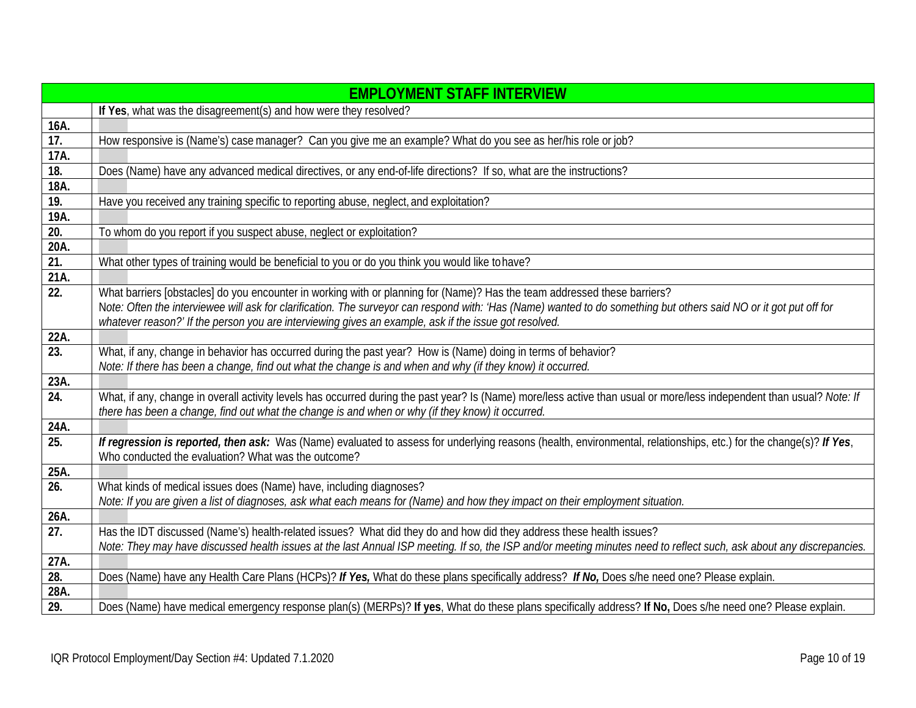|                   | <b>EMPLOYMENT STAFF INTERVIEW</b>                                                                                                                                      |
|-------------------|------------------------------------------------------------------------------------------------------------------------------------------------------------------------|
|                   | If Yes, what was the disagreement(s) and how were they resolved?                                                                                                       |
| 16A.              |                                                                                                                                                                        |
| $\overline{17}$ . | How responsive is (Name's) case manager? Can you give me an example? What do you see as her/his role or job?                                                           |
| 17A.              |                                                                                                                                                                        |
| 18.               | Does (Name) have any advanced medical directives, or any end-of-life directions? If so, what are the instructions?                                                     |
| 18A.              |                                                                                                                                                                        |
| $\overline{19}$ . | Have you received any training specific to reporting abuse, neglect, and exploitation?                                                                                 |
| 19A.              |                                                                                                                                                                        |
| 20.               | To whom do you report if you suspect abuse, neglect or exploitation?                                                                                                   |
| 20A.              |                                                                                                                                                                        |
| 21.               | What other types of training would be beneficial to you or do you think you would like to have?                                                                        |
| 21A.<br>22.       | What barriers [obstacles] do you encounter in working with or planning for (Name)? Has the team addressed these barriers?                                              |
|                   | Note: Often the interviewee will ask for clarification. The surveyor can respond with: 'Has (Name) wanted to do something but others said NO or it got put off for     |
|                   | whatever reason?' If the person you are interviewing gives an example, ask if the issue got resolved.                                                                  |
| 22A.              |                                                                                                                                                                        |
| $\overline{23}$ . | What, if any, change in behavior has occurred during the past year? How is (Name) doing in terms of behavior?                                                          |
|                   | Note: If there has been a change, find out what the change is and when and why (if they know) it occurred.                                                             |
| 23A.              |                                                                                                                                                                        |
| 24.               | What, if any, change in overall activity levels has occurred during the past year? Is (Name) more/less active than usual or more/less independent than usual? Note: If |
|                   | there has been a change, find out what the change is and when or why (if they know) it occurred.                                                                       |
| 24A.              |                                                                                                                                                                        |
| 25.               | If regression is reported, then ask: Was (Name) evaluated to assess for underlying reasons (health, environmental, relationships, etc.) for the change(s)? If Yes,     |
|                   | Who conducted the evaluation? What was the outcome?                                                                                                                    |
| 25A.              |                                                                                                                                                                        |
| 26.               | What kinds of medical issues does (Name) have, including diagnoses?                                                                                                    |
|                   | Note: If you are given a list of diagnoses, ask what each means for (Name) and how they impact on their employment situation.                                          |
| 26A.<br>27.       | Has the IDT discussed (Name's) health-related issues? What did they do and how did they address these health issues?                                                   |
|                   | Note: They may have discussed health issues at the last Annual ISP meeting. If so, the ISP and/or meeting minutes need to reflect such, ask about any discrepancies.   |
| 27A.              |                                                                                                                                                                        |
| 28.               | Does (Name) have any Health Care Plans (HCPs)? If Yes, What do these plans specifically address? If No, Does s/he need one? Please explain.                            |
| 28A.              |                                                                                                                                                                        |
| 29.               | Does (Name) have medical emergency response plan(s) (MERPs)? If yes, What do these plans specifically address? If No, Does s/he need one? Please explain.              |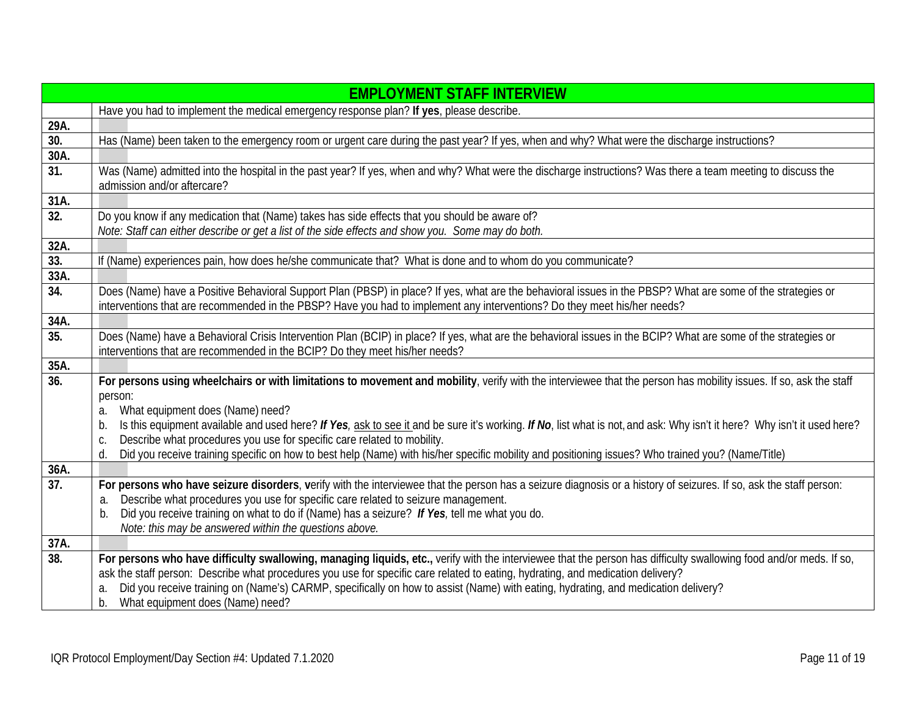|                   | <b>EMPLOYMENT STAFF INTERVIEW</b>                                                                                                                                                                                                                        |
|-------------------|----------------------------------------------------------------------------------------------------------------------------------------------------------------------------------------------------------------------------------------------------------|
|                   | Have you had to implement the medical emergency response plan? If yes, please describe.                                                                                                                                                                  |
| 29A.              |                                                                                                                                                                                                                                                          |
| $\overline{30}$ . | Has (Name) been taken to the emergency room or urgent care during the past year? If yes, when and why? What were the discharge instructions?                                                                                                             |
| 30A.              |                                                                                                                                                                                                                                                          |
| $\overline{31}$ . | Was (Name) admitted into the hospital in the past year? If yes, when and why? What were the discharge instructions? Was there a team meeting to discuss the<br>admission and/or aftercare?                                                               |
| 31A.              |                                                                                                                                                                                                                                                          |
| 32.               | Do you know if any medication that (Name) takes has side effects that you should be aware of?                                                                                                                                                            |
|                   | Note: Staff can either describe or get a list of the side effects and show you. Some may do both.                                                                                                                                                        |
| 32A.              |                                                                                                                                                                                                                                                          |
| $\overline{33}$ . | If (Name) experiences pain, how does he/she communicate that? What is done and to whom do you communicate?                                                                                                                                               |
| 33A.              |                                                                                                                                                                                                                                                          |
| $\overline{34}$ . | Does (Name) have a Positive Behavioral Support Plan (PBSP) in place? If yes, what are the behavioral issues in the PBSP? What are some of the strategies or                                                                                              |
|                   | interventions that are recommended in the PBSP? Have you had to implement any interventions? Do they meet his/her needs?                                                                                                                                 |
| 34A.              |                                                                                                                                                                                                                                                          |
| 35.               | Does (Name) have a Behavioral Crisis Intervention Plan (BCIP) in place? If yes, what are the behavioral issues in the BCIP? What are some of the strategies or                                                                                           |
|                   | interventions that are recommended in the BCIP? Do they meet his/her needs?                                                                                                                                                                              |
| 35A.              |                                                                                                                                                                                                                                                          |
| $\overline{36}$ . | For persons using wheelchairs or with limitations to movement and mobility, verify with the interviewee that the person has mobility issues. If so, ask the staff                                                                                        |
|                   | person:                                                                                                                                                                                                                                                  |
|                   | What equipment does (Name) need?<br>a.                                                                                                                                                                                                                   |
|                   | Is this equipment available and used here? If Yes, ask to see it and be sure it's working. If No, list what is not, and ask: Why isn't it here? Why isn't it used here?<br>b.<br>Describe what procedures you use for specific care related to mobility. |
|                   | C.<br>Did you receive training specific on how to best help (Name) with his/her specific mobility and positioning issues? Who trained you? (Name/Title)<br>d.                                                                                            |
| 36A.              |                                                                                                                                                                                                                                                          |
| 37.               | For persons who have seizure disorders, verify with the interviewee that the person has a seizure diagnosis or a history of seizures. If so, ask the staff person:                                                                                       |
|                   | Describe what procedures you use for specific care related to seizure management.<br>a.                                                                                                                                                                  |
|                   | Did you receive training on what to do if (Name) has a seizure? If Yes, tell me what you do.<br>b.                                                                                                                                                       |
|                   | Note: this may be answered within the questions above.                                                                                                                                                                                                   |
| 37A.              |                                                                                                                                                                                                                                                          |
| 38.               | For persons who have difficulty swallowing, managing liquids, etc., verify with the interviewee that the person has difficulty swallowing food and/or meds. If so,                                                                                       |
|                   | ask the staff person: Describe what procedures you use for specific care related to eating, hydrating, and medication delivery?                                                                                                                          |
|                   | Did you receive training on (Name's) CARMP, specifically on how to assist (Name) with eating, hydrating, and medication delivery?<br>a.                                                                                                                  |
|                   | b. What equipment does (Name) need?                                                                                                                                                                                                                      |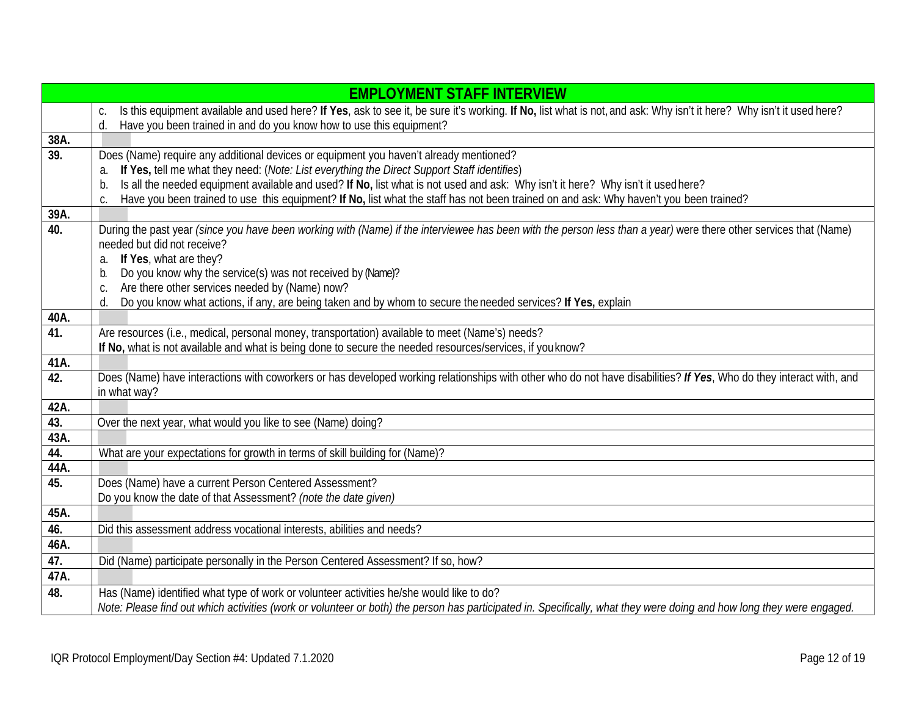|      | <b>EMPLOYMENT STAFF INTERVIEW</b>                                                                                                                                                                                                                                                                                                                      |  |  |  |  |
|------|--------------------------------------------------------------------------------------------------------------------------------------------------------------------------------------------------------------------------------------------------------------------------------------------------------------------------------------------------------|--|--|--|--|
|      | Is this equipment available and used here? If Yes, ask to see it, be sure it's working. If No, list what is not, and ask: Why isn't it here? Why isn't it used here?<br>C.<br>Have you been trained in and do you know how to use this equipment?<br>d.                                                                                                |  |  |  |  |
| 38A. |                                                                                                                                                                                                                                                                                                                                                        |  |  |  |  |
| 39.  | Does (Name) require any additional devices or equipment you haven't already mentioned?<br>If Yes, tell me what they need: (Note: List everything the Direct Support Staff identifies)<br>a.<br>Is all the needed equipment available and used? If No, list what is not used and ask: Why isn't it here? Why isn't it used here?<br>b.                  |  |  |  |  |
|      | Have you been trained to use this equipment? If No, list what the staff has not been trained on and ask: Why haven't you been trained?<br>C.                                                                                                                                                                                                           |  |  |  |  |
| 39A. |                                                                                                                                                                                                                                                                                                                                                        |  |  |  |  |
| 40.  | During the past year (since you have been working with (Name) if the interviewee has been with the person less than a year) were there other services that (Name)<br>needed but did not receive?<br>If Yes, what are they?<br>a.<br>Do you know why the service(s) was not received by (Name)?<br>b.<br>Are there other services needed by (Name) now? |  |  |  |  |
|      | C.<br>Do you know what actions, if any, are being taken and by whom to secure the needed services? If Yes, explain<br>d.                                                                                                                                                                                                                               |  |  |  |  |
| 40A. |                                                                                                                                                                                                                                                                                                                                                        |  |  |  |  |
| 41.  | Are resources (i.e., medical, personal money, transportation) available to meet (Name's) needs?                                                                                                                                                                                                                                                        |  |  |  |  |
|      | If No, what is not available and what is being done to secure the needed resources/services, if you know?                                                                                                                                                                                                                                              |  |  |  |  |
| 41A. |                                                                                                                                                                                                                                                                                                                                                        |  |  |  |  |
| 42.  | Does (Name) have interactions with coworkers or has developed working relationships with other who do not have disabilities? If Yes, Who do they interact with, and<br>in what way?                                                                                                                                                                    |  |  |  |  |
| 42A. |                                                                                                                                                                                                                                                                                                                                                        |  |  |  |  |
| 43.  | Over the next year, what would you like to see (Name) doing?                                                                                                                                                                                                                                                                                           |  |  |  |  |
| 43A. |                                                                                                                                                                                                                                                                                                                                                        |  |  |  |  |
| 44.  | What are your expectations for growth in terms of skill building for (Name)?                                                                                                                                                                                                                                                                           |  |  |  |  |
| 44A. |                                                                                                                                                                                                                                                                                                                                                        |  |  |  |  |
| 45.  | Does (Name) have a current Person Centered Assessment?                                                                                                                                                                                                                                                                                                 |  |  |  |  |
| 45A. | Do you know the date of that Assessment? (note the date given)                                                                                                                                                                                                                                                                                         |  |  |  |  |
| 46.  | Did this assessment address vocational interests, abilities and needs?                                                                                                                                                                                                                                                                                 |  |  |  |  |
| 46A. |                                                                                                                                                                                                                                                                                                                                                        |  |  |  |  |
| 47.  | Did (Name) participate personally in the Person Centered Assessment? If so, how?                                                                                                                                                                                                                                                                       |  |  |  |  |
| 47A. |                                                                                                                                                                                                                                                                                                                                                        |  |  |  |  |
| 48.  | Has (Name) identified what type of work or volunteer activities he/she would like to do?                                                                                                                                                                                                                                                               |  |  |  |  |
|      | Note: Please find out which activities (work or volunteer or both) the person has participated in. Specifically, what they were doing and how long they were engaged.                                                                                                                                                                                  |  |  |  |  |
|      |                                                                                                                                                                                                                                                                                                                                                        |  |  |  |  |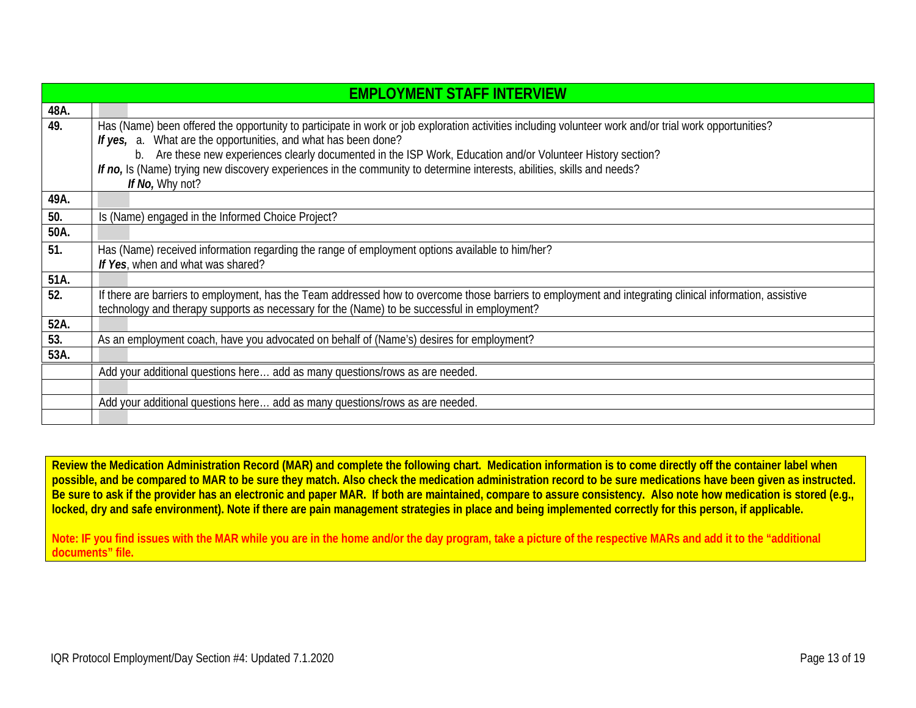|      | <b>EMPLOYMENT STAFF INTERVIEW</b>                                                                                                                        |  |  |  |
|------|----------------------------------------------------------------------------------------------------------------------------------------------------------|--|--|--|
| 48A. |                                                                                                                                                          |  |  |  |
| 49.  | Has (Name) been offered the opportunity to participate in work or job exploration activities including volunteer work and/or trial work opportunities?   |  |  |  |
|      | If yes, a. What are the opportunities, and what has been done?                                                                                           |  |  |  |
|      | b. Are these new experiences clearly documented in the ISP Work, Education and/or Volunteer History section?                                             |  |  |  |
|      | If no, Is (Name) trying new discovery experiences in the community to determine interests, abilities, skills and needs?                                  |  |  |  |
|      | If No, Why not?                                                                                                                                          |  |  |  |
| 49A. |                                                                                                                                                          |  |  |  |
| 50.  | Is (Name) engaged in the Informed Choice Project?                                                                                                        |  |  |  |
| 50A. |                                                                                                                                                          |  |  |  |
| 51.  | Has (Name) received information regarding the range of employment options available to him/her?                                                          |  |  |  |
|      | If Yes, when and what was shared?                                                                                                                        |  |  |  |
| 51A. |                                                                                                                                                          |  |  |  |
| 52.  | If there are barriers to employment, has the Team addressed how to overcome those barriers to employment and integrating clinical information, assistive |  |  |  |
|      | technology and therapy supports as necessary for the (Name) to be successful in employment?                                                              |  |  |  |
| 52A. |                                                                                                                                                          |  |  |  |
| 53.  | As an employment coach, have you advocated on behalf of (Name's) desires for employment?                                                                 |  |  |  |
| 53A. |                                                                                                                                                          |  |  |  |
|      | Add your additional questions here add as many questions/rows as are needed.                                                                             |  |  |  |
|      |                                                                                                                                                          |  |  |  |
|      | Add your additional questions here add as many questions/rows as are needed.                                                                             |  |  |  |
|      |                                                                                                                                                          |  |  |  |

**Review the Medication Administration Record (MAR) and complete the following chart. Medication information is to come directly off the container label when possible, and be compared to MAR to be sure they match. Also check the medication administration record to be sure medications have been given as instructed. Be sure to ask if the provider has an electronic and paper MAR. If both are maintained, compare to assure consistency. Also note how medication is stored (e.g., locked, dry and safe environment). Note if there are pain management strategies in place and being implemented correctly for this person, if applicable.** 

**Note: IF you find issues with the MAR while you are in the home and/or the day program, take a picture of the respective MARs and add it to the "additional documents" file.**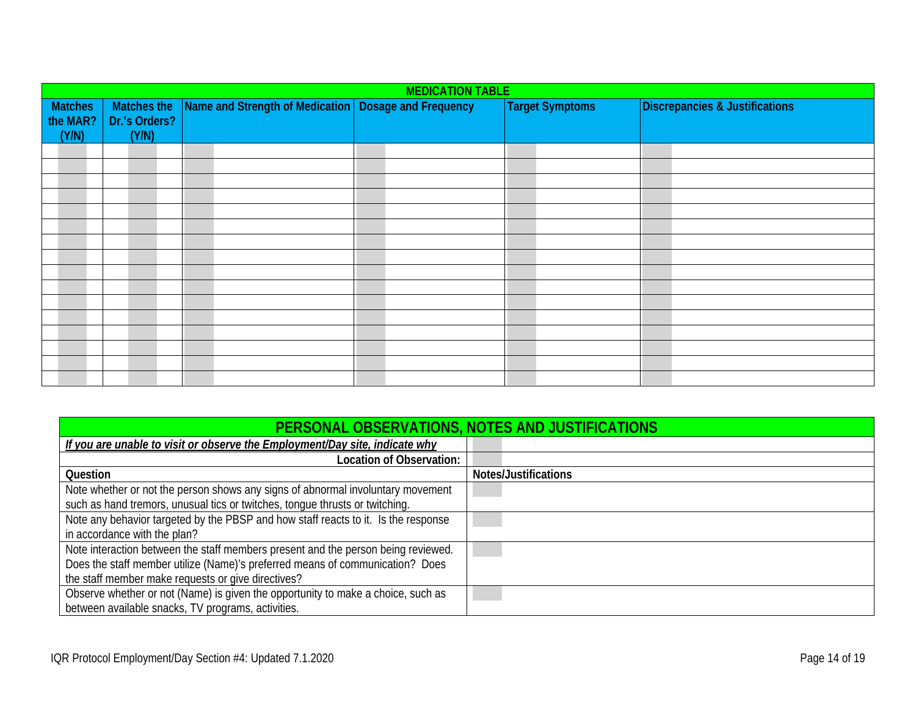<span id="page-13-0"></span>

| <b>MEDICATION TABLE</b> |               |                                                        |  |                        |                                |
|-------------------------|---------------|--------------------------------------------------------|--|------------------------|--------------------------------|
| <b>Matches</b>          | Matches the   | Name and Strength of Medication   Dosage and Frequency |  | <b>Target Symptoms</b> | Discrepancies & Justifications |
| the MAR?                | Dr.'s Orders? |                                                        |  |                        |                                |
| (Y/N)                   | (Y/N)         |                                                        |  |                        |                                |
|                         |               |                                                        |  |                        |                                |
|                         |               |                                                        |  |                        |                                |
|                         |               |                                                        |  |                        |                                |
|                         |               |                                                        |  |                        |                                |
|                         |               |                                                        |  |                        |                                |
|                         |               |                                                        |  |                        |                                |
|                         |               |                                                        |  |                        |                                |
|                         |               |                                                        |  |                        |                                |
|                         |               |                                                        |  |                        |                                |
|                         |               |                                                        |  |                        |                                |
|                         |               |                                                        |  |                        |                                |
|                         |               |                                                        |  |                        |                                |
|                         |               |                                                        |  |                        |                                |
|                         |               |                                                        |  |                        |                                |
|                         |               |                                                        |  |                        |                                |
|                         |               |                                                        |  |                        |                                |

<span id="page-13-1"></span>

| PERSONAL OBSERVATIONS, NOTES AND JUSTIFICATIONS                                    |                      |  |
|------------------------------------------------------------------------------------|----------------------|--|
| If you are unable to visit or observe the Employment/Day site, indicate why        |                      |  |
| Location of Observation:                                                           |                      |  |
| Question                                                                           | Notes/Justifications |  |
| Note whether or not the person shows any signs of abnormal involuntary movement    |                      |  |
| such as hand tremors, unusual tics or twitches, tonque thrusts or twitching.       |                      |  |
| Note any behavior targeted by the PBSP and how staff reacts to it. Is the response |                      |  |
| in accordance with the plan?                                                       |                      |  |
| Note interaction between the staff members present and the person being reviewed.  |                      |  |
| Does the staff member utilize (Name)'s preferred means of communication? Does      |                      |  |
| the staff member make requests or give directives?                                 |                      |  |
| Observe whether or not (Name) is given the opportunity to make a choice, such as   |                      |  |
| between available snacks, TV programs, activities.                                 |                      |  |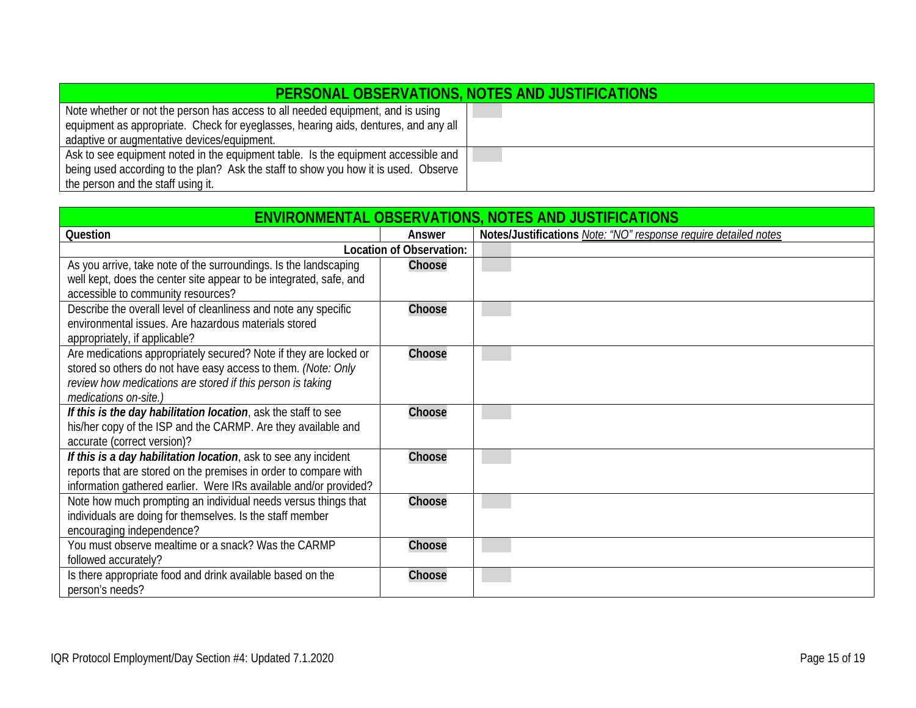| <b>PERSONAL OBSERVATIONS, NOTES AND JUSTIFICATIONS</b>                              |  |
|-------------------------------------------------------------------------------------|--|
| Note whether or not the person has access to all needed equipment, and is using     |  |
| equipment as appropriate. Check for eyeglasses, hearing aids, dentures, and any all |  |
| adaptive or augmentative devices/equipment.                                         |  |
| Ask to see equipment noted in the equipment table. Is the equipment accessible and  |  |
| being used according to the plan? Ask the staff to show you how it is used. Observe |  |
| the person and the staff using it.                                                  |  |

<span id="page-14-0"></span>

| <b>ENVIRONMENTAL OBSERVATIONS, NOTES AND JUSTIFICATIONS</b>        |                          |                                                                 |  |
|--------------------------------------------------------------------|--------------------------|-----------------------------------------------------------------|--|
| Question                                                           | Answer                   | Notes/Justifications Note: "NO" response require detailed notes |  |
|                                                                    | Location of Observation: |                                                                 |  |
| As you arrive, take note of the surroundings. Is the landscaping   | Choose                   |                                                                 |  |
| well kept, does the center site appear to be integrated, safe, and |                          |                                                                 |  |
| accessible to community resources?                                 |                          |                                                                 |  |
| Describe the overall level of cleanliness and note any specific    | Choose                   |                                                                 |  |
| environmental issues. Are hazardous materials stored               |                          |                                                                 |  |
| appropriately, if applicable?                                      |                          |                                                                 |  |
| Are medications appropriately secured? Note if they are locked or  | Choose                   |                                                                 |  |
| stored so others do not have easy access to them. (Note: Only      |                          |                                                                 |  |
| review how medications are stored if this person is taking         |                          |                                                                 |  |
| medications on-site.)                                              |                          |                                                                 |  |
| If this is the day habilitation location, ask the staff to see     | Choose                   |                                                                 |  |
| his/her copy of the ISP and the CARMP. Are they available and      |                          |                                                                 |  |
| accurate (correct version)?                                        |                          |                                                                 |  |
| If this is a day habilitation location, ask to see any incident    | Choose                   |                                                                 |  |
| reports that are stored on the premises in order to compare with   |                          |                                                                 |  |
| information gathered earlier. Were IRs available and/or provided?  |                          |                                                                 |  |
| Note how much prompting an individual needs versus things that     | Choose                   |                                                                 |  |
| individuals are doing for themselves. Is the staff member          |                          |                                                                 |  |
| encouraging independence?                                          |                          |                                                                 |  |
| You must observe mealtime or a snack? Was the CARMP                | Choose                   |                                                                 |  |
| followed accurately?                                               |                          |                                                                 |  |
| Is there appropriate food and drink available based on the         | Choose                   |                                                                 |  |
| person's needs?                                                    |                          |                                                                 |  |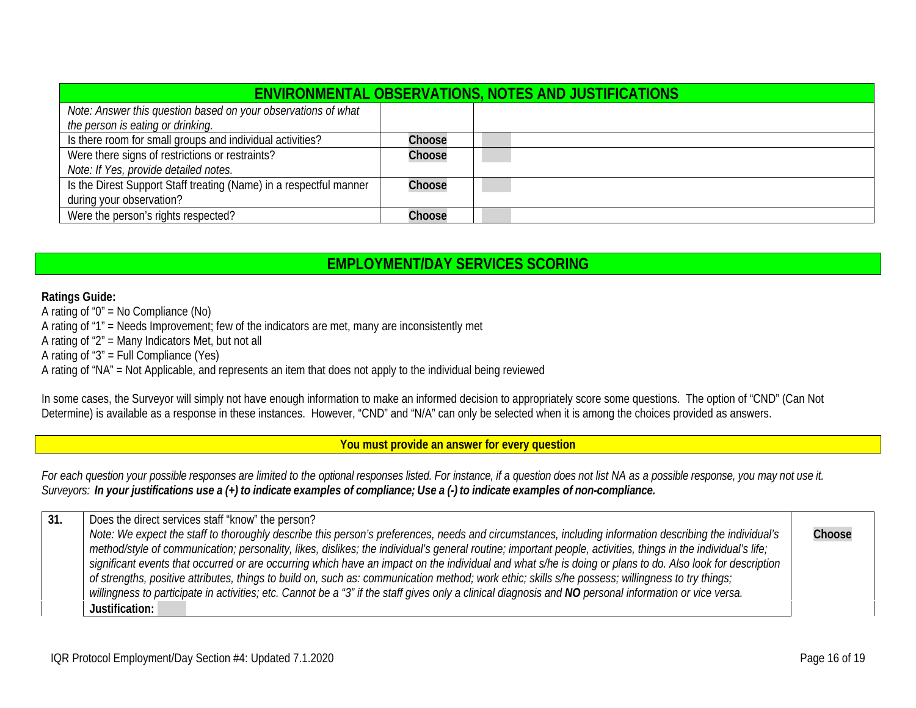| ENVIRONMENTAL OBSERVATIONS, NOTES AND JUSTIFICATIONS               |        |  |  |
|--------------------------------------------------------------------|--------|--|--|
| Note: Answer this question based on your observations of what      |        |  |  |
| the person is eating or drinking.                                  |        |  |  |
| Is there room for small groups and individual activities?          | Choose |  |  |
| Were there signs of restrictions or restraints?                    | Choose |  |  |
| Note: If Yes, provide detailed notes.                              |        |  |  |
| Is the Direst Support Staff treating (Name) in a respectful manner | Choose |  |  |
| during your observation?                                           |        |  |  |
| Were the person's rights respected?                                | Choose |  |  |

## **EMPLOYMENT/DAY SERVICES SCORING**

## <span id="page-15-0"></span>**Ratings Guide:**

A rating of " $0$ " = No Compliance (No) A rating of "1" = Needs Improvement; few of the indicators are met, many are inconsistently met A rating of "2" = Many Indicators Met, but not all A rating of "3" = Full Compliance (Yes) A rating of "NA" = Not Applicable, and represents an item that does not apply to the individual being reviewed

In some cases, the Surveyor will simply not have enough information to make an informed decision to appropriately score some questions. The option of "CND" (Can Not Determine) is available as a response in these instances. However, "CND" and "N/A" can only be selected when it is among the choices provided as answers.

<span id="page-15-1"></span>**You must provide an answer for every question**

*For each question your possible responses are limited to the optional responses listed. For instance, if a question does not list NA as a possible response, you may not use it.* Surveyors: In your justifications use a (+) to indicate examples of compliance; Use a (-) to indicate examples of non-compliance.

**31.** Does the direct services staff "know" the person? *Note: We expect the staff to thoroughly describe this person's preferences, needs and circumstances, including information describing the individual's method/style of communication; personality, likes, dislikes; the individual's general routine; important people, activities, things in the individual's life; significant events that occurred or are occurring which have an impact on the individual and what s/he is doing or plans to do. Also look for description of strengths, positive attributes, things to build on, such as: communication method; work ethic; skills s/he possess; willingness to try things;*  willingness to participate in activities; etc. Cannot be a "3" if the staff gives only a clinical diagnosis and NO personal information or vice versa. **Choose Justification:**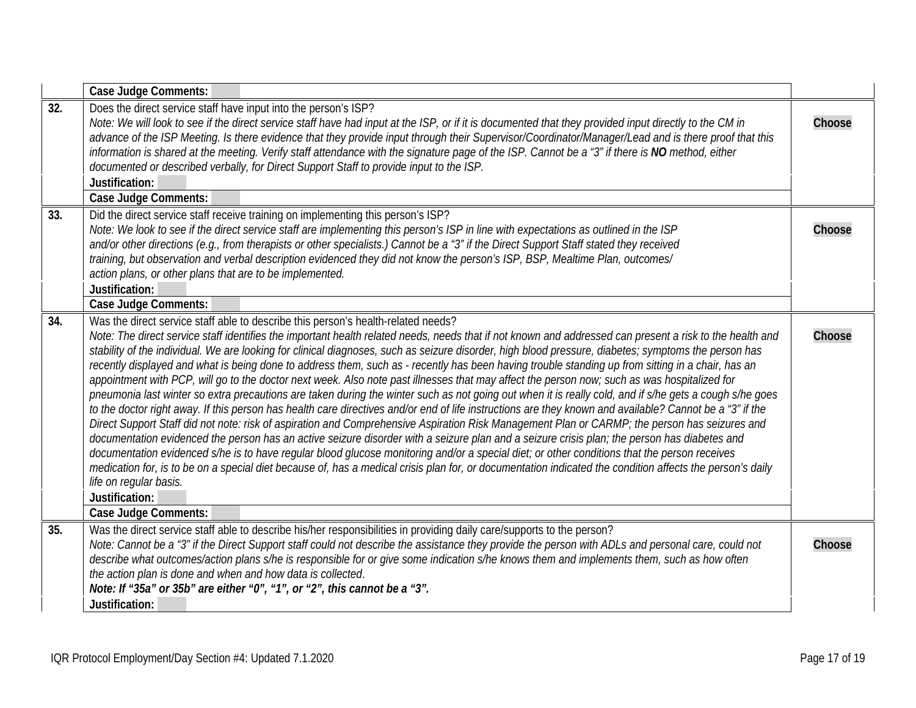<span id="page-16-3"></span><span id="page-16-2"></span><span id="page-16-1"></span><span id="page-16-0"></span>

|     | <b>Case Judge Comments:</b>                                                                                                                                                                                                                                                                                                                                                                                                                                                                                                                                                                                                                                                                                                                                                                                                                                                                                                                                                                                                                                                                                                                                                                                                                                                                                                                                                                                                                                                                                                                                                                                                                                                                                                |        |
|-----|----------------------------------------------------------------------------------------------------------------------------------------------------------------------------------------------------------------------------------------------------------------------------------------------------------------------------------------------------------------------------------------------------------------------------------------------------------------------------------------------------------------------------------------------------------------------------------------------------------------------------------------------------------------------------------------------------------------------------------------------------------------------------------------------------------------------------------------------------------------------------------------------------------------------------------------------------------------------------------------------------------------------------------------------------------------------------------------------------------------------------------------------------------------------------------------------------------------------------------------------------------------------------------------------------------------------------------------------------------------------------------------------------------------------------------------------------------------------------------------------------------------------------------------------------------------------------------------------------------------------------------------------------------------------------------------------------------------------------|--------|
| 32. | Does the direct service staff have input into the person's ISP?<br>Note: We will look to see if the direct service staff have had input at the ISP, or if it is documented that they provided input directly to the CM in<br>advance of the ISP Meeting. Is there evidence that they provide input through their Supervisor/Coordinator/Manager/Lead and is there proof that this<br>information is shared at the meeting. Verify staff attendance with the signature page of the ISP. Cannot be a "3" if there is NO method, either<br>documented or described verbally, for Direct Support Staff to provide input to the ISP.<br>Justification:                                                                                                                                                                                                                                                                                                                                                                                                                                                                                                                                                                                                                                                                                                                                                                                                                                                                                                                                                                                                                                                                          | Choose |
|     | <b>Case Judge Comments:</b>                                                                                                                                                                                                                                                                                                                                                                                                                                                                                                                                                                                                                                                                                                                                                                                                                                                                                                                                                                                                                                                                                                                                                                                                                                                                                                                                                                                                                                                                                                                                                                                                                                                                                                |        |
| 33. | Did the direct service staff receive training on implementing this person's ISP?<br>Note: We look to see if the direct service staff are implementing this person's ISP in line with expectations as outlined in the ISP<br>and/or other directions (e.g., from therapists or other specialists.) Cannot be a "3" if the Direct Support Staff stated they received<br>training, but observation and verbal description evidenced they did not know the person's ISP, BSP, Mealtime Plan, outcomes/<br>action plans, or other plans that are to be implemented.<br>Justification:<br>Case Judge Comments:                                                                                                                                                                                                                                                                                                                                                                                                                                                                                                                                                                                                                                                                                                                                                                                                                                                                                                                                                                                                                                                                                                                   | Choose |
| 34. | Was the direct service staff able to describe this person's health-related needs?<br>Note: The direct service staff identifies the important health related needs, needs that if not known and addressed can present a risk to the health and<br>stability of the individual. We are looking for clinical diagnoses, such as seizure disorder, high blood pressure, diabetes; symptoms the person has<br>recently displayed and what is being done to address them, such as - recently has been having trouble standing up from sitting in a chair, has an<br>appointment with PCP, will go to the doctor next week. Also note past illnesses that may affect the person now; such as was hospitalized for<br>pneumonia last winter so extra precautions are taken during the winter such as not going out when it is really cold, and if s/he gets a cough s/he goes<br>to the doctor right away. If this person has health care directives and/or end of life instructions are they known and available? Cannot be a "3" if the<br>Direct Support Staff did not note: risk of aspiration and Comprehensive Aspiration Risk Management Plan or CARMP; the person has seizures and<br>documentation evidenced the person has an active seizure disorder with a seizure plan and a seizure crisis plan; the person has diabetes and<br>documentation evidenced s/he is to have regular blood glucose monitoring and/or a special diet; or other conditions that the person receives<br>medication for, is to be on a special diet because of, has a medical crisis plan for, or documentation indicated the condition affects the person's daily<br>life on regular basis.<br>Justification:<br><b>Case Judge Comments:</b> | Choose |
| 35. | Was the direct service staff able to describe his/her responsibilities in providing daily care/supports to the person?<br>Note: Cannot be a "3" if the Direct Support staff could not describe the assistance they provide the person with ADLs and personal care, could not<br>describe what outcomes/action plans s/he is responsible for or give some indication s/he knows them and implements them, such as how often<br>the action plan is done and when and how data is collected.<br>Note: If "35a" or 35b" are either "0", "1", or "2", this cannot be a "3".                                                                                                                                                                                                                                                                                                                                                                                                                                                                                                                                                                                                                                                                                                                                                                                                                                                                                                                                                                                                                                                                                                                                                     | Choose |
|     | Justification:                                                                                                                                                                                                                                                                                                                                                                                                                                                                                                                                                                                                                                                                                                                                                                                                                                                                                                                                                                                                                                                                                                                                                                                                                                                                                                                                                                                                                                                                                                                                                                                                                                                                                                             |        |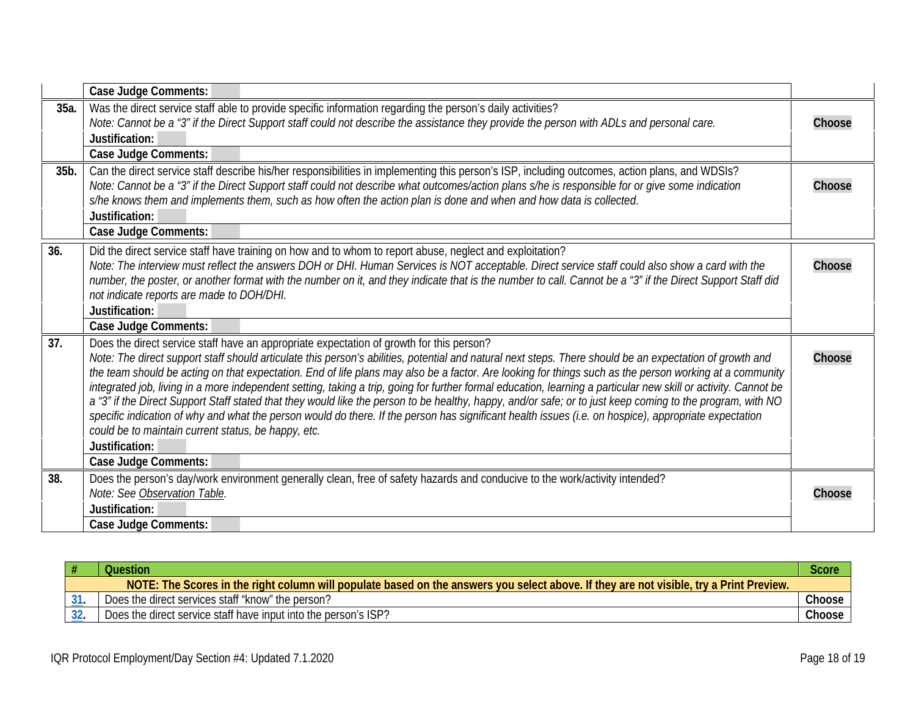<span id="page-17-3"></span><span id="page-17-2"></span><span id="page-17-0"></span>

|      | <b>Case Judge Comments:</b>                                                                                                                                                                                                                                                                                         |        |
|------|---------------------------------------------------------------------------------------------------------------------------------------------------------------------------------------------------------------------------------------------------------------------------------------------------------------------|--------|
| 35a. | Was the direct service staff able to provide specific information regarding the person's daily activities?                                                                                                                                                                                                          |        |
|      | Note: Cannot be a "3" if the Direct Support staff could not describe the assistance they provide the person with ADLs and personal care.                                                                                                                                                                            | Choose |
|      | Justification:                                                                                                                                                                                                                                                                                                      |        |
|      | <b>Case Judge Comments:</b>                                                                                                                                                                                                                                                                                         |        |
| 35b. | Can the direct service staff describe his/her responsibilities in implementing this person's ISP, including outcomes, action plans, and WDSIs?                                                                                                                                                                      |        |
|      | Note: Cannot be a "3" if the Direct Support staff could not describe what outcomes/action plans s/he is responsible for or give some indication                                                                                                                                                                     | Choose |
|      | s/he knows them and implements them, such as how often the action plan is done and when and how data is collected.                                                                                                                                                                                                  |        |
|      | Justification:                                                                                                                                                                                                                                                                                                      |        |
|      | <b>Case Judge Comments:</b>                                                                                                                                                                                                                                                                                         |        |
| 36.  | Did the direct service staff have training on how and to whom to report abuse, neglect and exploitation?                                                                                                                                                                                                            |        |
|      | Note: The interview must reflect the answers DOH or DHI. Human Services is NOT acceptable. Direct service staff could also show a card with the                                                                                                                                                                     | Choose |
|      | number, the poster, or another format with the number on it, and they indicate that is the number to call. Cannot be a "3" if the Direct Support Staff did                                                                                                                                                          |        |
|      | not indicate reports are made to DOH/DHI.                                                                                                                                                                                                                                                                           |        |
|      | Justification:                                                                                                                                                                                                                                                                                                      |        |
|      | <b>Case Judge Comments:</b>                                                                                                                                                                                                                                                                                         |        |
| 37.  | Does the direct service staff have an appropriate expectation of growth for this person?                                                                                                                                                                                                                            |        |
|      | Note: The direct support staff should articulate this person's abilities, potential and natural next steps. There should be an expectation of growth and                                                                                                                                                            | Choose |
|      | the team should be acting on that expectation. End of life plans may also be a factor. Are looking for things such as the person working at a community                                                                                                                                                             |        |
|      | integrated job, living in a more independent setting, taking a trip, going for further formal education, learning a particular new skill or activity. Cannot be                                                                                                                                                     |        |
|      | a "3" if the Direct Support Staff stated that they would like the person to be healthy, happy, and/or safe; or to just keep coming to the program, with NO<br>specific indication of why and what the person would do there. If the person has significant health issues (i.e. on hospice), appropriate expectation |        |
|      | could be to maintain current status, be happy, etc.                                                                                                                                                                                                                                                                 |        |
|      | Justification:                                                                                                                                                                                                                                                                                                      |        |
|      | Case Judge Comments:                                                                                                                                                                                                                                                                                                |        |
| 38.  | Does the person's day/work environment generally clean, free of safety hazards and conducive to the work/activity intended?                                                                                                                                                                                         |        |
|      | Note: See Observation Table.                                                                                                                                                                                                                                                                                        | Choose |
|      | Justification:                                                                                                                                                                                                                                                                                                      |        |
|      | <b>Case Judge Comments:</b>                                                                                                                                                                                                                                                                                         |        |

<span id="page-17-4"></span><span id="page-17-1"></span>

| # | Question                                                                                                                                |              |
|---|-----------------------------------------------------------------------------------------------------------------------------------------|--------------|
|   | NOTE: The Scores in the right column will populate based on the answers you select above. If they are not visible, try a Print Preview. |              |
|   | Does the direct services staff "know" the person?                                                                                       | $\cap$ hoose |
|   | Does the direct service staff have input into the person's ISP?                                                                         | $7$ hoose    |